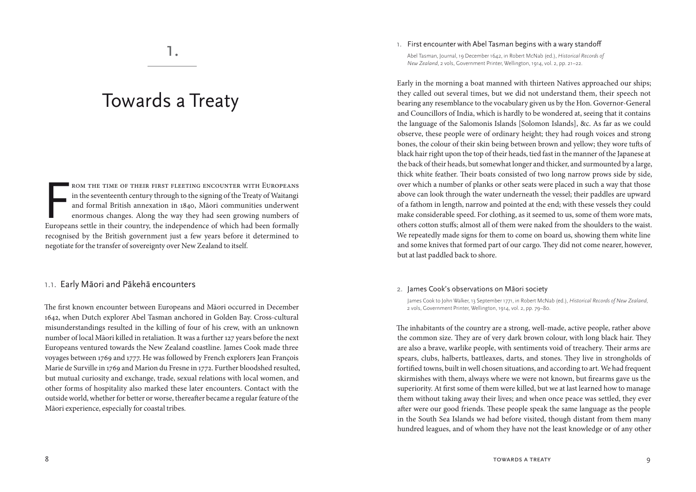# Towards a Treaty

ROM THE TIME OF THEIR FIRST FLEETING ENCOUNTER WITH EUROPEANS<br>in the seventeenth century through to the signing of the Treaty of Waitangi<br>and formal British annexation in 1840, Māori communities underwent<br>enormous changes. rom the time of their first fleeting encounter with Europeans in the seventeenth century through to the signing of the Treaty of Waitangi and formal British annexation in 1840, Māori communities underwent enormous changes. Along the way they had seen growing numbers of recognised by the British government just a few years before it determined to negotiate for the transfer of sovereignty over New Zealand to itself.

# 1.1. Early Māori and Pākehā encounters

The first known encounter between Europeans and Māori occurred in December 1642, when Dutch explorer Abel Tasman anchored in Golden Bay. Cross-cultural misunderstandings resulted in the killing of four of his crew, with an unknown number of local Māori killed in retaliation. It was a further 127 years before the next Europeans ventured towards the New Zealand coastline. James Cook made three voyages between 1769 and 1777. He was followed by French explorers Jean François Marie de Surville in 1769 and Marion du Fresne in 1772. Further bloodshed resulted, but mutual curiosity and exchange, trade, sexual relations with local women, and other forms of hospitality also marked these later encounters. Contact with the outside world, whether for better or worse, thereafter became a regular feature of the Māori experience, especially for coastal tribes.

#### 1. First encounter with Abel Tasman begins with a wary standoff

Abel Tasman, Journal, 19 December 1642, in Robert McNab (ed.), *Historical Records of New Zealand*, 2 vols, Government Printer, Wellington, 1914, vol. 2, pp. 21–22.

Early in the morning a boat manned with thirteen Natives approached our ships; they called out several times, but we did not understand them, their speech not bearing any resemblance to the vocabulary given us by the Hon. Governor-General and Councillors of India, which is hardly to be wondered at, seeing that it contains the language of the Salomonis Islands [Solomon Islands], &c. As far as we could observe, these people were of ordinary height; they had rough voices and strong bones, the colour of their skin being between brown and yellow; they wore tufts of black hair right upon the top of their heads, tied fast in the manner of the Japanese at the back of their heads, but somewhat longer and thicker, and surmounted by a large, thick white feather. Their boats consisted of two long narrow prows side by side, over which a number of planks or other seats were placed in such a way that those above can look through the water underneath the vessel; their paddles are upward of a fathom in length, narrow and pointed at the end; with these vessels they could make considerable speed. For clothing, as it seemed to us, some of them wore mats, others cotton stuffs; almost all of them were naked from the shoulders to the waist. We repeatedly made signs for them to come on board us, showing them white line and some knives that formed part of our cargo. They did not come nearer, however, but at last paddled back to shore.

## 2. James Cook's observations on Māori society

James Cook to John Walker, 13 September 1771, in Robert McNab (ed.), *Historical Records of New Zealand*, 2 vols, Government Printer, Wellington, 1914, vol. 2, pp. 79–80.

The inhabitants of the country are a strong, well-made, active people, rather above the common size. They are of very dark brown colour, with long black hair. They are also a brave, warlike people, with sentiments void of treachery. Their arms are spears, clubs, halberts, battleaxes, darts, and stones. They live in strongholds of fortified towns, built in well chosen situations, and according to art. We had frequent skirmishes with them, always where we were not known, but firearms gave us the superiority. At first some of them were killed, but we at last learned how to manage them without taking away their lives; and when once peace was settled, they ever after were our good friends. These people speak the same language as the people in the South Sea Islands we had before visited, though distant from them many hundred leagues, and of whom they have not the least knowledge or of any other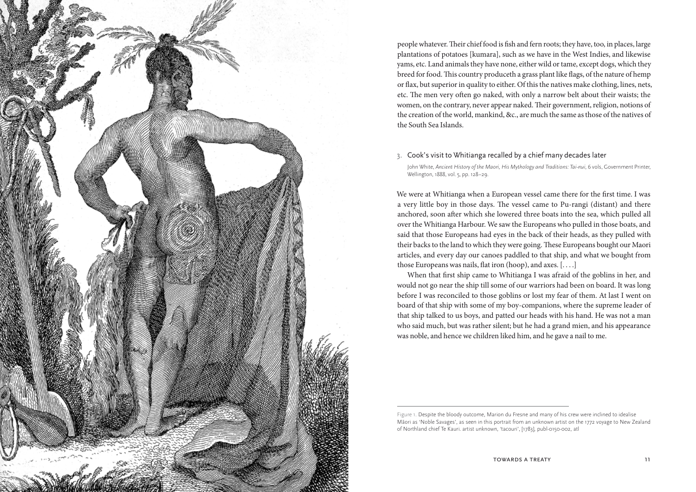

people whatever. Their chief food is fish and fern roots; they have, too, in places, large plantations of potatoes [kumara], such as we have in the West Indies, and likewise yams, etc. Land animals they have none, either wild or tame, except dogs, which they breed for food. This country produceth a grass plant like flags, of the nature of hemp or flax, but superior in quality to either. Of this the natives make clothing, lines, nets, etc. The men very often go naked, with only a narrow belt about their waists; the women, on the contrary, never appear naked. Their government, religion, notions of the creation of the world, mankind, &c., are much the same as those of the natives of the South Sea Islands.

#### 3. Cook's visit to Whitianga recalled by a chief many decades later

John White, *Ancient History of the Maori, His Mythology and Traditions: Tai-nui*, 6 vols, Government Printer, Wellington, 1888, vol. 5, pp. 128–29.

We were at Whitianga when a European vessel came there for the first time. I was a very little boy in those days. The vessel came to Pu-rangi (distant) and there anchored, soon after which she lowered three boats into the sea, which pulled all over the Whitianga Harbour. We saw the Europeans who pulled in those boats, and said that those Europeans had eyes in the back of their heads, as they pulled with their backs to the land to which they were going. These Europeans bought our Maori articles, and every day our canoes paddled to that ship, and what we bought from those Europeans was nails, flat iron (hoop), and axes. [. . . .]

When that first ship came to Whitianga I was afraid of the goblins in her, and would not go near the ship till some of our warriors had been on board. It was long before I was reconciled to those goblins or lost my fear of them. At last I went on board of that ship with some of my boy-companions, where the supreme leader of that ship talked to us boys, and patted our heads with his hand. He was not a man who said much, but was rather silent; but he had a grand mien, and his appearance was noble, and hence we children liked him, and he gave a nail to me.

Figure 1. Despite the bloody outcome, Marion du Fresne and many of his crew were inclined to idealise Māori as 'Noble Savages', as seen in this portrait from an unknown artist on the 1772 voyage to New Zealand of Northland chief Te Kauri. artist unknown, 'tacouri', [1783], publ-0150-002, atl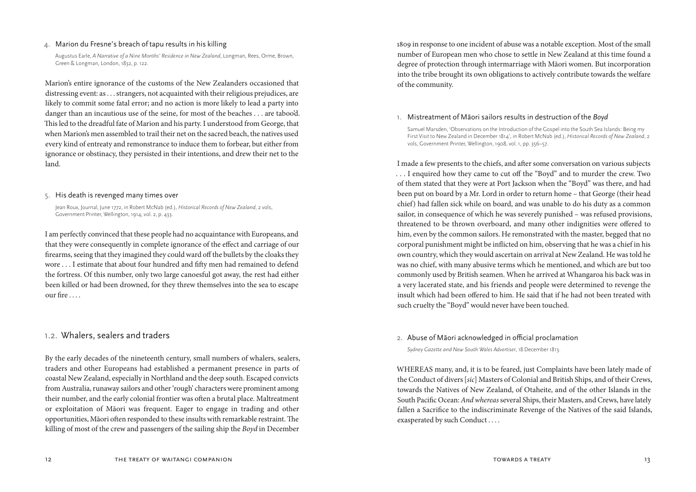# 4. Marion du Fresne's breach of tapu results in his killing

Augustus Earle, *A Narrative of a Nine Months' Residence in New Zealand*, Longman, Rees, Orme, Brown, Green & Longman, London, 1832, p. 122.

Marion's entire ignorance of the customs of the New Zealanders occasioned that distressing event: as . . . strangers, not acquainted with their religious prejudices, are likely to commit some fatal error; and no action is more likely to lead a party into danger than an incautious use of the seine, for most of the beaches . . . are taboo'd. This led to the dreadful fate of Marion and his party. I understood from George, that when Marion's men assembled to trail their net on the sacred beach, the natives used every kind of entreaty and remonstrance to induce them to forbear, but either from ignorance or obstinacy, they persisted in their intentions, and drew their net to the land.

## 5. His death is revenged many times over

Jean Roux, Journal, June 1772, in Robert McNab (ed.), *Historical Records of New Zealand*, 2 vols, Government Printer, Wellington, 1914, vol. 2, p. 433.

I am perfectly convinced that these people had no acquaintance with Europeans, and that they were consequently in complete ignorance of the effect and carriage of our firearms, seeing that they imagined they could ward off the bullets by the cloaks they wore . . . I estimate that about four hundred and fifty men had remained to defend the fortress. Of this number, only two large canoesful got away, the rest had either been killed or had been drowned, for they threw themselves into the sea to escape our fire . . . .

# 1.2. Whalers, sealers and traders

By the early decades of the nineteenth century, small numbers of whalers, sealers, traders and other Europeans had established a permanent presence in parts of coastal New Zealand, especially in Northland and the deep south. Escaped convicts from Australia, runaway sailors and other 'rough' characters were prominent among their number, and the early colonial frontier was often a brutal place. Maltreatment or exploitation of Māori was frequent. Eager to engage in trading and other opportunities, Māori often responded to these insults with remarkable restraint. The killing of most of the crew and passengers of the sailing ship the *Boyd* in December

1809 in response to one incident of abuse was a notable exception. Most of the small number of European men who chose to settle in New Zealand at this time found a degree of protection through intermarriage with Māori women. But incorporation into the tribe brought its own obligations to actively contribute towards the welfare of the community.

## 1. Mistreatment of Māori sailors results in destruction of the *Boyd*

Samuel Marsden, 'Observations on the Introduction of the Gospel into the South Sea Islands: Being my First Visit to New Zealand in December 1814', in Robert McNab (ed.), *Historical Records of New Zealand*, 2 vols, Government Printer, Wellington, 1908, vol. 1, pp. 356–57.

I made a few presents to the chiefs, and after some conversation on various subjects . . . I enquired how they came to cut off the "Boyd" and to murder the crew. Two of them stated that they were at Port Jackson when the "Boyd" was there, and had been put on board by a Mr. Lord in order to return home – that George (their head chief) had fallen sick while on board, and was unable to do his duty as a common sailor, in consequence of which he was severely punished – was refused provisions, threatened to be thrown overboard, and many other indignities were offered to him, even by the common sailors. He remonstrated with the master, begged that no corporal punishment might be inflicted on him, observing that he was a chief in his own country, which they would ascertain on arrival at New Zealand. He was told he was no chief, with many abusive terms which he mentioned, and which are but too commonly used by British seamen. When he arrived at Whangaroa his back was in a very lacerated state, and his friends and people were determined to revenge the insult which had been offered to him. He said that if he had not been treated with such cruelty the "Boyd" would never have been touched.

## 2. Abuse of Māori acknowledged in official proclamation

*Sydney Gazette and New South Wales Advertiser*, 18 December 1813.

WHEREAS many, and, it is to be feared, just Complaints have been lately made of the Conduct of divers [*sic*] Masters of Colonial and British Ships, and of their Crews, towards the Natives of New Zealand, of Otaheite, and of the other Islands in the South Pacific Ocean: *And whereas* several Ships, their Masters, and Crews, have lately fallen a Sacrifice to the indiscriminate Revenge of the Natives of the said Islands, exasperated by such Conduct . . . .